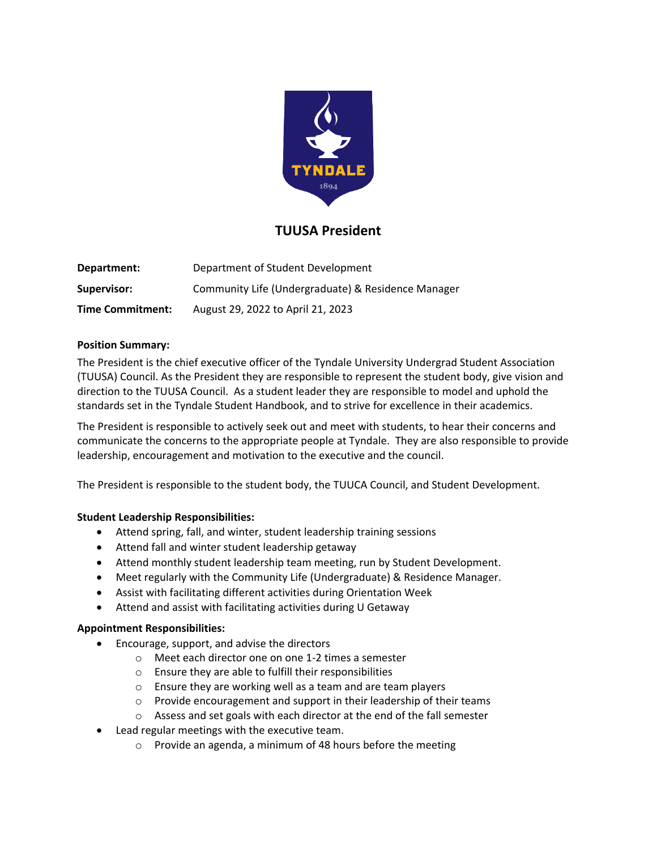

# **TUUSA President**

| Department:             | Department of Student Development                  |
|-------------------------|----------------------------------------------------|
| Supervisor:             | Community Life (Undergraduate) & Residence Manager |
| <b>Time Commitment:</b> | August 29, 2022 to April 21, 2023                  |

#### **Position Summary:**

The President is the chief executive officer of the Tyndale University Undergrad Student Association (TUUSA) Council. As the President they are responsible to represent the student body, give vision and direction to the TUUSA Council. As a student leader they are responsible to model and uphold the standards set in the Tyndale Student Handbook, and to strive for excellence in their academics.

The President is responsible to actively seek out and meet with students, to hear their concerns and communicate the concerns to the appropriate people at Tyndale. They are also responsible to provide leadership, encouragement and motivation to the executive and the council.

The President is responsible to the student body, the TUUCA Council, and Student Development.

### **Student Leadership Responsibilities:**

- Attend spring, fall, and winter, student leadership training sessions
- Attend fall and winter student leadership getaway
- Attend monthly student leadership team meeting, run by Student Development.
- Meet regularly with the Community Life (Undergraduate) & Residence Manager.
- Assist with facilitating different activities during Orientation Week
- Attend and assist with facilitating activities during U Getaway

#### **Appointment Responsibilities:**

- Encourage, support, and advise the directors
	- o Meet each director one on one 1-2 times a semester
	- o Ensure they are able to fulfill their responsibilities
	- o Ensure they are working well as a team and are team players
	- o Provide encouragement and support in their leadership of their teams
	- o Assess and set goals with each director at the end of the fall semester
- Lead regular meetings with the executive team.
	- o Provide an agenda, a minimum of 48 hours before the meeting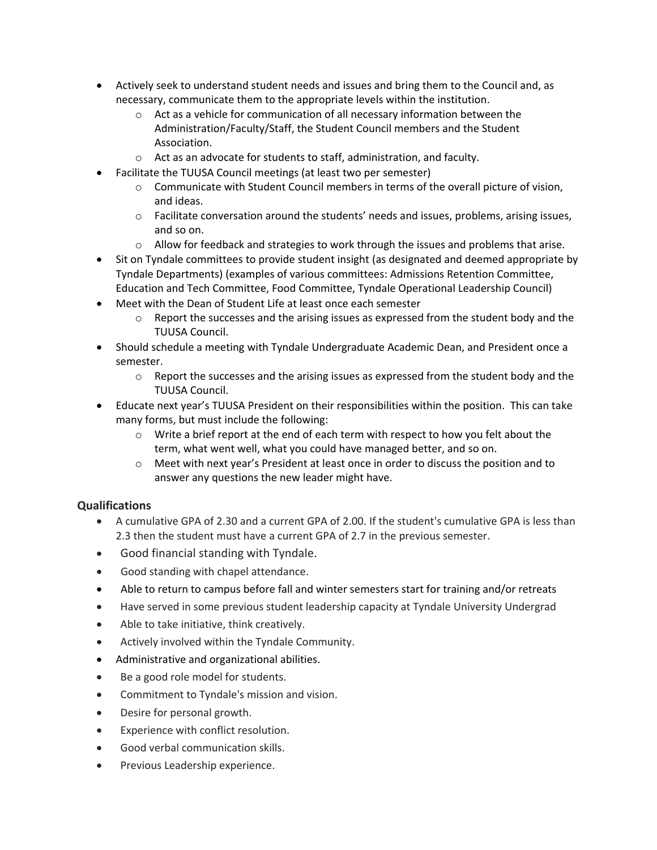- Actively seek to understand student needs and issues and bring them to the Council and, as necessary, communicate them to the appropriate levels within the institution.
	- $\circ$  Act as a vehicle for communication of all necessary information between the Administration/Faculty/Staff, the Student Council members and the Student Association.
	- o Act as an advocate for students to staff, administration, and faculty.
	- Facilitate the TUUSA Council meetings (at least two per semester)
		- $\circ$  Communicate with Student Council members in terms of the overall picture of vision, and ideas.
		- o Facilitate conversation around the students' needs and issues, problems, arising issues, and so on.
		- $\circ$  Allow for feedback and strategies to work through the issues and problems that arise.
- Sit on Tyndale committees to provide student insight (as designated and deemed appropriate by Tyndale Departments) (examples of various committees: Admissions Retention Committee, Education and Tech Committee, Food Committee, Tyndale Operational Leadership Council)
- Meet with the Dean of Student Life at least once each semester
	- $\circ$  Report the successes and the arising issues as expressed from the student body and the TUUSA Council.
- Should schedule a meeting with Tyndale Undergraduate Academic Dean, and President once a semester.
	- $\circ$  Report the successes and the arising issues as expressed from the student body and the TUUSA Council.
- Educate next year's TUUSA President on their responsibilities within the position. This can take many forms, but must include the following:
	- o Write a brief report at the end of each term with respect to how you felt about the term, what went well, what you could have managed better, and so on.
	- $\circ$  Meet with next year's President at least once in order to discuss the position and to answer any questions the new leader might have.

## **Qualifications**

- A cumulative GPA of 2.30 and a current GPA of 2.00. If the student's cumulative GPA is less than 2.3 then the student must have a current GPA of 2.7 in the previous semester.
- Good financial standing with Tyndale.
- Good standing with chapel attendance.
- Able to return to campus before fall and winter semesters start for training and/or retreats
- Have served in some previous student leadership capacity at Tyndale University Undergrad
- Able to take initiative, think creatively.
- Actively involved within the Tyndale Community.
- Administrative and organizational abilities.
- Be a good role model for students.
- Commitment to Tyndale's mission and vision.
- Desire for personal growth.
- Experience with conflict resolution.
- Good verbal communication skills.
- Previous Leadership experience.